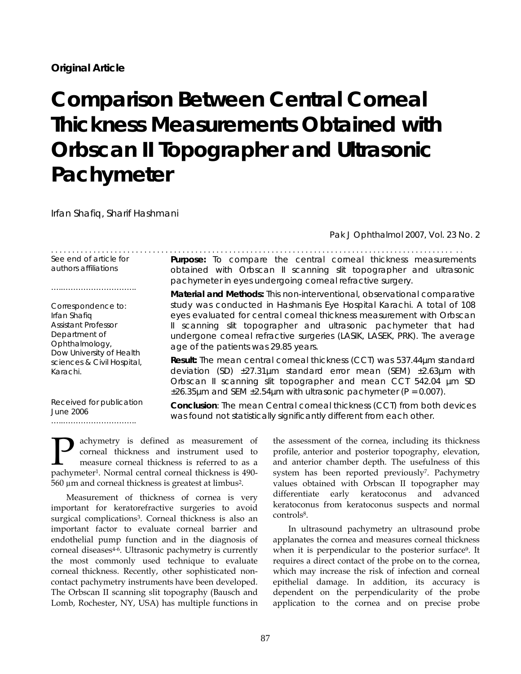# **Comparison Between Central Corneal Thickness Measurements Obtained with Orbscan II Topographer and Ultrasonic Pachymeter**

. . . . . . . . . . . . . . . . . . . . . . . . . . . . . . . . . . . . . . . . . . . . . . . . . . . . . . . . . . . . . . . . . . . . . . . . . . . . . . . . . . . . . . . . . . . . . . . . .

Irfan Shafiq, Sharif Hashmani

*Pak J Ophthalmol 2007, Vol. 23 No. 2* 

See end of article for authors affiliations

…………………………………………

Correspondence to: Irfan Shafiq Assistant Professor Department of Ophthalmology, Dow University of Health sciences & Civil Hospital, Karachi.

Received for publication

…..………………………..

June 2006

obtained with Orbscan II scanning slit topographer and ultrasonic pachymeter in eyes undergoing corneal refractive surgery. **Material and Methods:** This non-interventional, observational comparative

**Purpose:** To compare the central corneal thickness measurements

study was conducted in Hashmanis Eye Hospital Karachi. A total of 108 eyes evaluated for central corneal thickness measurement with Orbscan II scanning slit topographer and ultrasonic pachymeter that had undergone corneal refractive surgeries (LASIK, LASEK, PRK). The average age of the patients was 29.85 years.

**Result:** The mean central corneal thickness (CCT) was 537.44µm standard deviation (SD)  $\pm 27.31 \mu m$  standard error mean (SEM)  $\pm 2.63 \mu m$  with Orbscan II scanning slit topographer and mean CCT 542.04 µm SD  $\pm 26.35 \mu$ m and SEM  $\pm 2.54 \mu$ m with ultrasonic pachymeter (P = 0.007).

**Conclusion**: The mean Central corneal thickness (CCT) from both devices was found not statistically significantly different from each other.

achymetry is defined as measurement of corneal thickness and instrument used to measure corneal thickness is referred to as a **pachymetry** is defined as measurement of corneal thickness and instrument used to measure corneal thickness is referred to as a pachymeter<sup>1</sup>. Normal central corneal thickness is 490-560 µm and corneal thickness is greatest at limbus2.

Measurement of thickness of cornea is very important for keratorefractive surgeries to avoid surgical complications<sup>3</sup>. Corneal thickness is also an important factor to evaluate corneal barrier and endothelial pump function and in the diagnosis of corneal diseases<sup>4-6</sup>. Ultrasonic pachymetry is currently the most commonly used technique to evaluate corneal thickness. Recently, other sophisticated noncontact pachymetry instruments have been developed. The Orbscan II scanning slit topography (Bausch and Lomb, Rochester, NY, USA) has multiple functions in

the assessment of the cornea, including its thickness profile, anterior and posterior topography, elevation, and anterior chamber depth. The usefulness of this system has been reported previously<sup>7</sup>. Pachymetry values obtained with Orbscan II topographer may differentiate early keratoconus and advanced keratoconus from keratoconus suspects and normal controls<sup>8</sup>.

In ultrasound pachymetry an ultrasound probe applanates the cornea and measures corneal thickness when it is perpendicular to the posterior surface<sup>9</sup>. It requires a direct contact of the probe on to the cornea, which may increase the risk of infection and corneal epithelial damage. In addition, its accuracy is dependent on the perpendicularity of the probe application to the cornea and on precise probe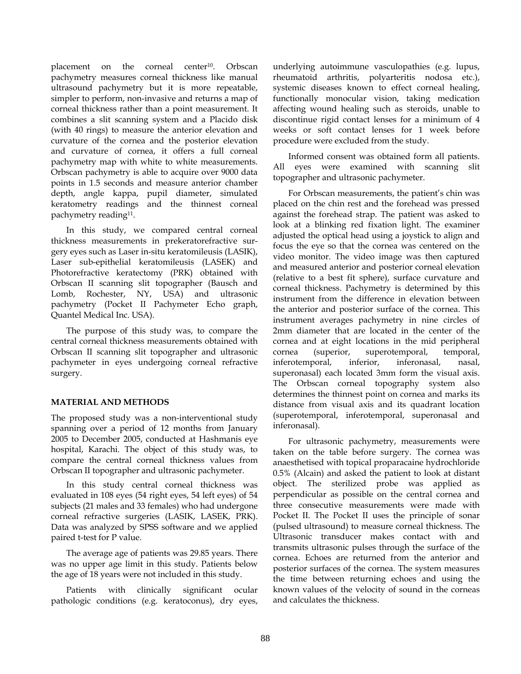placement on the corneal center<sup>10</sup>. Orbscan pachymetry measures corneal thickness like manual ultrasound pachymetry but it is more repeatable, simpler to perform, non-invasive and returns a map of corneal thickness rather than a point measurement. It combines a slit scanning system and a Placido disk (with 40 rings) to measure the anterior elevation and curvature of the cornea and the posterior elevation and curvature of cornea, it offers a full corneal pachymetry map with white to white measurements. Orbscan pachymetry is able to acquire over 9000 data points in 1.5 seconds and measure anterior chamber depth, angle kappa, pupil diameter, simulated keratometry readings and the thinnest corneal pachymetry reading<sup>11</sup>.

In this study, we compared central corneal thickness measurements in prekeratorefractive surgery eyes such as Laser in-situ keratomileusis (LASIK), Laser sub-epithelial keratomileusis (LASEK) and Photorefractive keratectomy (PRK) obtained with Orbscan II scanning slit topographer (Bausch and Lomb, Rochester, NY, USA) and ultrasonic pachymetry (Pocket II Pachymeter Echo graph, Quantel Medical Inc. USA).

The purpose of this study was, to compare the central corneal thickness measurements obtained with Orbscan II scanning slit topographer and ultrasonic pachymeter in eyes undergoing corneal refractive surgery.

# **MATERIAL AND METHODS**

The proposed study was a non-interventional study spanning over a period of 12 months from January 2005 to December 2005, conducted at Hashmanis eye hospital, Karachi. The object of this study was, to compare the central corneal thickness values from Orbscan II topographer and ultrasonic pachymeter.

In this study central corneal thickness was evaluated in 108 eyes (54 right eyes, 54 left eyes) of 54 subjects (21 males and 33 females) who had undergone corneal refractive surgeries (LASIK, LASEK, PRK). Data was analyzed by SPSS software and we applied paired t-test for P value.

The average age of patients was 29.85 years. There was no upper age limit in this study. Patients below the age of 18 years were not included in this study.

Patients with clinically significant ocular pathologic conditions (e.g. keratoconus), dry eyes, underlying autoimmune vasculopathies (e.g. lupus, rheumatoid arthritis, polyarteritis nodosa etc.), systemic diseases known to effect corneal healing, functionally monocular vision, taking medication affecting wound healing such as steroids, unable to discontinue rigid contact lenses for a minimum of 4 weeks or soft contact lenses for 1 week before procedure were excluded from the study.

Informed consent was obtained form all patients. All eyes were examined with scanning slit topographer and ultrasonic pachymeter.

For Orbscan measurements, the patient's chin was placed on the chin rest and the forehead was pressed against the forehead strap. The patient was asked to look at a blinking red fixation light. The examiner adjusted the optical head using a joystick to align and focus the eye so that the cornea was centered on the video monitor. The video image was then captured and measured anterior and posterior corneal elevation (relative to a best fit sphere), surface curvature and corneal thickness. Pachymetry is determined by this instrument from the difference in elevation between the anterior and posterior surface of the cornea. This instrument averages pachymetry in nine circles of 2mm diameter that are located in the center of the cornea and at eight locations in the mid peripheral cornea (superior, superotemporal, temporal, inferotemporal, inferior, inferonasal, nasal, superonasal) each located 3mm form the visual axis. The Orbscan corneal topography system also determines the thinnest point on cornea and marks its distance from visual axis and its quadrant location (superotemporal, inferotemporal, superonasal and inferonasal).

For ultrasonic pachymetry, measurements were taken on the table before surgery. The cornea was anaesthetised with topical proparacaine hydrochloride 0.5% (Alcain) and asked the patient to look at distant object. The sterilized probe was applied as perpendicular as possible on the central cornea and three consecutive measurements were made with Pocket II. The Pocket II uses the principle of sonar (pulsed ultrasound) to measure corneal thickness. The Ultrasonic transducer makes contact with and transmits ultrasonic pulses through the surface of the cornea. Echoes are returned from the anterior and posterior surfaces of the cornea. The system measures the time between returning echoes and using the known values of the velocity of sound in the corneas and calculates the thickness.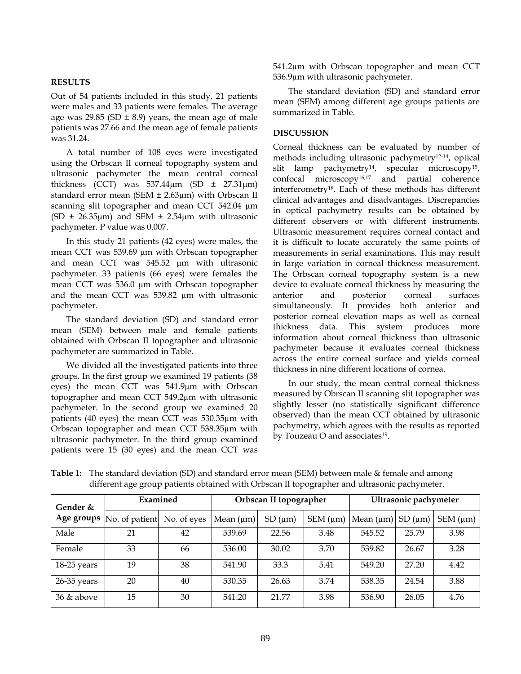### **RESULTS**

Out of 54 patients included in this study, 21 patients were males and 33 patients were females. The average age was 29.85 (SD  $\pm$  8.9) years, the mean age of male patients was 27.66 and the mean age of female patients was 31.24.

A total number of 108 eyes were investigated using the Orbscan II corneal topography system and ultrasonic pachymeter the mean central corneal thickness (CCT) was  $537.44\mu m$  (SD  $\pm$  27.31 $\mu$ m) standard error mean (SEM  $\pm$  2.63 $\mu$ m) with Orbscan II scanning slit topographer and mean CCT 542.04 µm (SD  $\pm$  26.35 $\mu$ m) and SEM  $\pm$  2.54 $\mu$ m with ultrasonic pachymeter. P value was 0.007.

In this study 21 patients (42 eyes) were males, the mean CCT was 539.69 µm with Orbscan topographer and mean CCT was 545.52 µm with ultrasonic pachymeter. 33 patients (66 eyes) were females the mean CCT was 536.0 µm with Orbscan topographer and the mean CCT was 539.82 µm with ultrasonic pachymeter.

The standard deviation (SD) and standard error mean (SEM) between male and female patients obtained with Orbscan II topographer and ultrasonic pachymeter are summarized in Table.

We divided all the investigated patients into three groups. In the first group we examined 19 patients (38 eyes) the mean CCT was 541.9µm with Orbscan topographer and mean CCT 549.2µm with ultrasonic pachymeter. In the second group we examined 20 patients (40 eyes) the mean CCT was 530.35µm with Orbscan topographer and mean CCT 538.35µm with ultrasonic pachymeter. In the third group examined patients were 15 (30 eyes) and the mean CCT was

541.2µm with Orbscan topographer and mean CCT 536.9µm with ultrasonic pachymeter.

The standard deviation (SD) and standard error mean (SEM) among different age groups patients are summarized in Table.

# **DISCUSSION**

Corneal thickness can be evaluated by number of methods including ultrasonic pachymetry12-14, optical slit lamp pachymetry<sup>14</sup>, specular microscopy<sup>15</sup>, confocal microscopy16,17 and partial coherence interferometry18. Each of these methods has different clinical advantages and disadvantages. Discrepancies in optical pachymetry results can be obtained by different observers or with different instruments. Ultrasonic measurement requires corneal contact and it is difficult to locate accurately the same points of measurements in serial examinations. This may result in large variation in corneal thickness measurement. The Orbscan corneal topography system is a new device to evaluate corneal thickness by measuring the anterior and posterior corneal surfaces simultaneously. It provides both anterior and posterior corneal elevation maps as well as corneal thickness data. This system produces more information about corneal thickness than ultrasonic pachymeter because it evaluates corneal thickness across the entire corneal surface and yields corneal thickness in nine different locations of cornea.

In our study, the mean central corneal thickness measured by Obrscan II scanning slit topographer was slightly lesser (no statistically significant difference observed) than the mean CCT obtained by ultrasonic pachymetry, which agrees with the results as reported by Touzeau O and associates<sup>19</sup>.

| Gender &      | Examined                   |             | Orbscan II topographer |         |                  | Ultrasonic pachymeter |             |                  |
|---------------|----------------------------|-------------|------------------------|---------|------------------|-----------------------|-------------|------------------|
|               | Age groups  No. of patient | No. of eyes | Mean (µm)              | SD (µm) | $SEM \, (\mu m)$ | Mean $(\mu m)$        | $SD(\mu m)$ | $SEM \, (\mu m)$ |
| Male          | 21                         | 42          | 539.69                 | 22.56   | 3.48             | 545.52                | 25.79       | 3.98             |
| Female        | 33                         | 66          | 536.00                 | 30.02   | 3.70             | 539.82                | 26.67       | 3.28             |
| 18-25 years   | 19                         | 38          | 541.90                 | 33.3    | 5.41             | 549.20                | 27.20       | 4.42             |
| 26-35 years   | 20                         | 40          | 530.35                 | 26.63   | 3.74             | 538.35                | 24.54       | 3.88             |
| $36 \&$ above | 15                         | 30          | 541.20                 | 21.77   | 3.98             | 536.90                | 26.05       | 4.76             |

**Table 1:** The standard deviation (SD) and standard error mean (SEM) between male & female and among different age group patients obtained with Orbscan II topographer and ultrasonic pachymeter.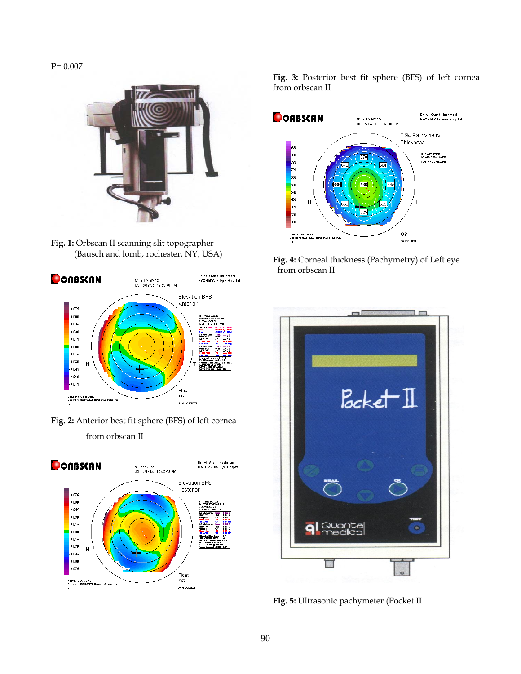P= 0.007



**Fig. 1:** Orbscan II scanning slit topographer (Bausch and lomb, rochester, NY, USA)



**Fig. 2:** Anterior best fit sphere (BFS) of left cornea from orbscan II



**Fig. 3:** Posterior best fit sphere (BFS) of left cornea from orbscan II



**Fig. 4:** Corneal thickness (Pachymetry) of Left eye from orbscan II



**Fig. 5:** Ultrasonic pachymeter (Pocket II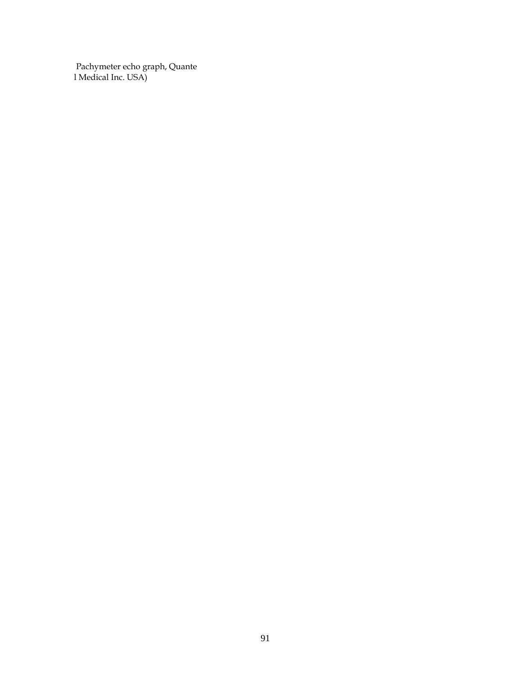Pachymeter echo graph, Quante I Medical Inc. USA)